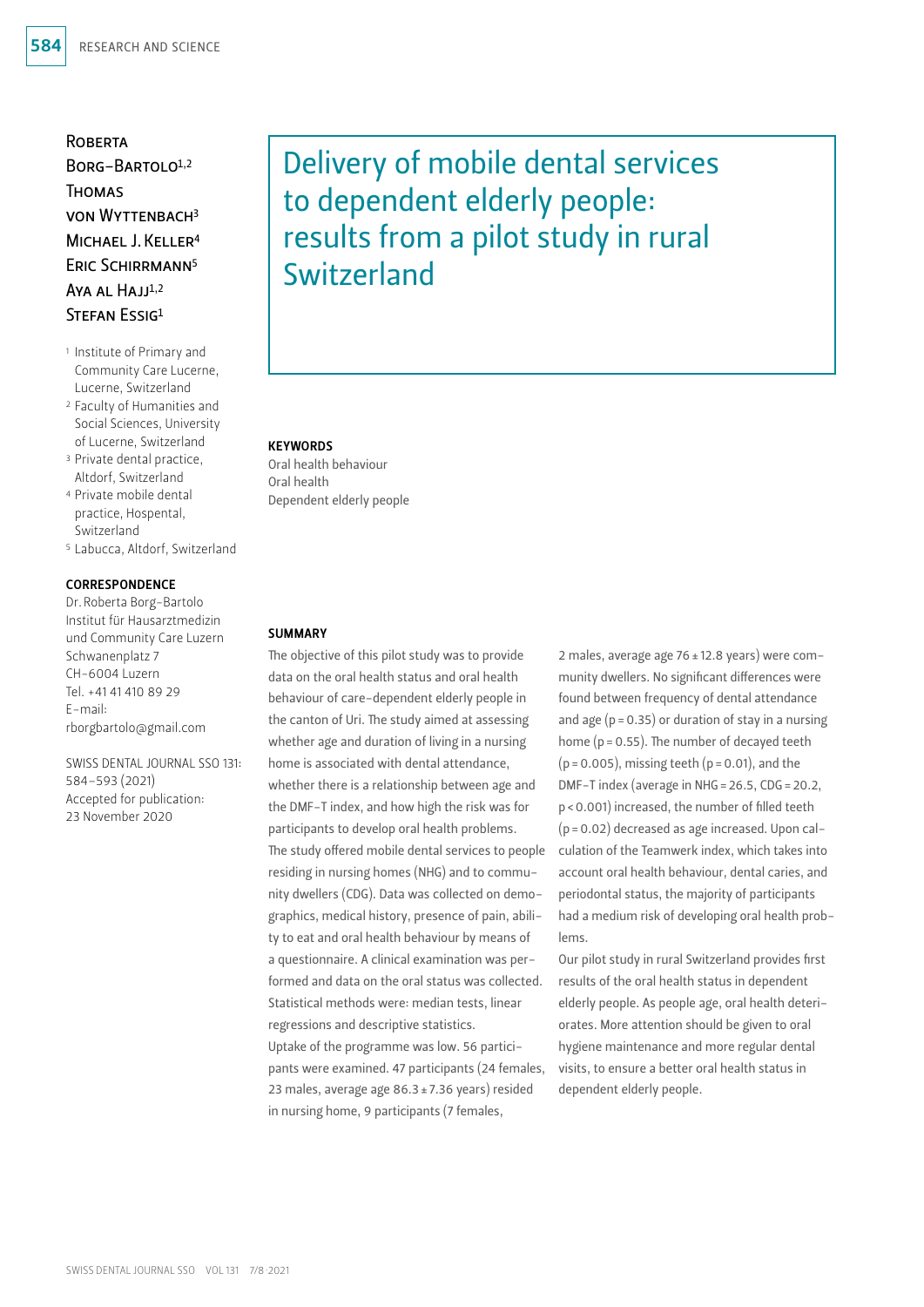# **ROBERTA**

 $BORG - BARTO1O<sup>1,2</sup>$ **THOMAS** von Wyttenbach3 MICHAEL LKELLER<sup>4</sup> ERIC SCHIRRMANN<sup>5</sup> Aya al  $H$ ajj $1,2$ STEFAN ESSIG1

- 1 Institute of Primary and Community Care Lucerne, Lucerne, Switzerland
- 2 Faculty of Humanities and Social Sciences, University of Lucerne, Switzerland
- <sup>3</sup> Private dental practice, Altdorf, Switzerland
- 4 Private mobile dental practice, Hospental, Switzerland
- 5 Labucca, Altdorf, Switzerland

#### CORRESPONDENCE

Dr.Roberta Borg-Bartolo Institut für Hausarztmedizin und Community Care Luzern Schwanenplatz 7 CH-6004 Luzern Tel. +41 41 410 89 29 E-mail: rborgbartolo@gmail.com

SWISS DENTAL JOURNAL SSO 131: 584–593 (2021) Accepted for publication: 23 November 2020

# Delivery of mobile dental services to dependent elderly people: results from a pilot study in rural Switzerland

#### **KEYWORDS**

Oral health behaviour Oral health Dependent elderly people

#### **SUMMARY**

The objective of this pilot study was to provide data on the oral health status and oral health behaviour of care-dependent elderly people in the canton of Uri. The study aimed at assessing whether age and duration of living in a nursing home is associated with dental attendance, whether there is a relationship between age and the DMF-T index, and how high the risk was for participants to develop oral health problems. The study offered mobile dental services to people residing in nursing homes (NHG) and to community dwellers (CDG). Data was collected on demographics, medical history, presence of pain, ability to eat and oral health behaviour by means of a questionnaire. A clinical examination was performed and data on the oral status was collected. Statistical methods were: median tests, linear regressions and descriptive statistics. Uptake of the programme was low. 56 participants were examined. 47 participants (24 females, 23 males, average age 86.3±7.36 years) resided in nursing home, 9 participants (7 females,

2 males, average age 76±12.8 years) were community dwellers. No significant differences were found between frequency of dental attendance and age  $(p = 0.35)$  or duration of stay in a nursing home (p=0.55). The number of decayed teeth  $(p=0.005)$ , missing teeth  $(p=0.01)$ , and the DMF-T index (average in NHG=26.5, CDG=20.2, p<0.001) increased, the number of filled teeth (p=0.02) decreased as age increased. Upon calculation of the Teamwerk index, which takes into account oral health behaviour, dental caries, and periodontal status, the majority of participants had a medium risk of developing oral health problems.

Our pilot study in rural Switzerland provides first results of the oral health status in dependent elderly people. As people age, oral health deteriorates. More attention should be given to oral hygiene maintenance and more regular dental visits, to ensure a better oral health status in dependent elderly people.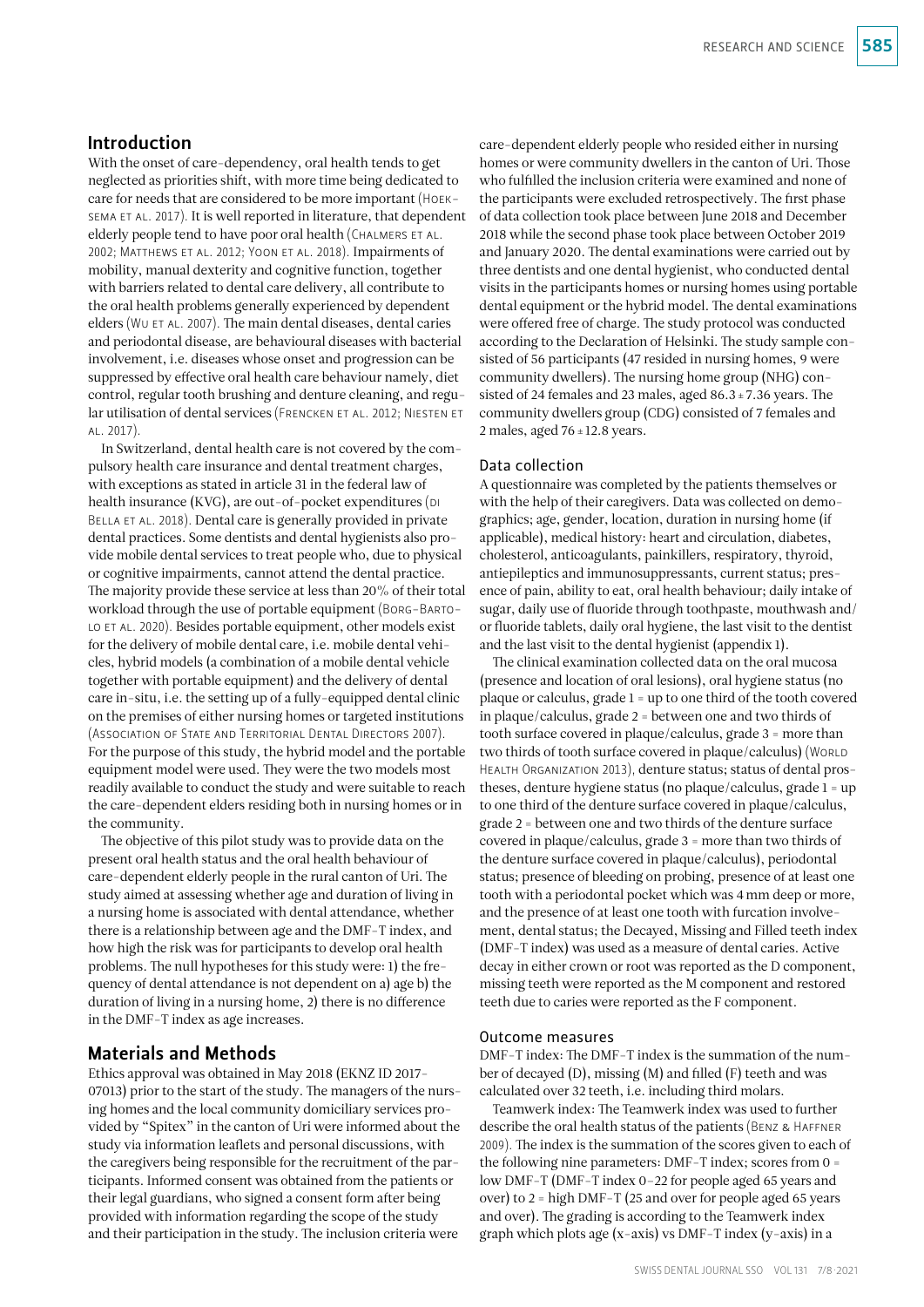# Introduction

With the onset of care-dependency, oral health tends to get neglected as priorities shift, with more time being dedicated to care for needs that are considered to be more important (Hoek-SEMA ET AL. 2017). It is well reported in literature, that dependent elderly people tend to have poor oral health (CHALMERS ET AL. 2002; Matthews et al. 2012; Yoon et al. 2018). Impairments of mobility, manual dexterity and cognitive function, together with barriers related to dental care delivery, all contribute to the oral health problems generally experienced by dependent elders (WU ET AL. 2007). The main dental diseases, dental caries and periodontal disease, are behavioural diseases with bacterial involvement, i.e. diseases whose onset and progression can be suppressed by effective oral health care behaviour namely, diet control, regular tooth brushing and denture cleaning, and regular utilisation of dental services (Frencken et al. 2012; Niesten et al. 2017).

In Switzerland, dental health care is not covered by the compulsory health care insurance and dental treatment charges, with exceptions as stated in article 31 in the federal law of health insurance (KVG), are out-of-pocket expenditures (DI) BELLA ET AL. 2018). Dental care is generally provided in private dental practices. Some dentists and dental hygienists also provide mobile dental services to treat people who, due to physical or cognitive impairments, cannot attend the dental practice. The majority provide these service at less than 20% of their total workload through the use of portable equipment (Borg-Barto-LO ET AL. 2020). Besides portable equipment, other models exist for the delivery of mobile dental care, i.e. mobile dental vehicles, hybrid models (a combination of a mobile dental vehicle together with portable equipment) and the delivery of dental care in-situ, i.e. the setting up of a fully-equipped dental clinic on the premises of either nursing homes or targeted institutions (Association of State and Territorial Dental Directors 2007). For the purpose of this study, the hybrid model and the portable equipment model were used. They were the two models most readily available to conduct the study and were suitable to reach the care-dependent elders residing both in nursing homes or in the community.

The objective of this pilot study was to provide data on the present oral health status and the oral health behaviour of care-dependent elderly people in the rural canton of Uri. The study aimed at assessing whether age and duration of living in a nursing home is associated with dental attendance, whether there is a relationship between age and the DMF-T index, and how high the risk was for participants to develop oral health problems. The null hypotheses for this study were: 1) the frequency of dental attendance is not dependent on a) age b) the duration of living in a nursing home, 2) there is no difference in the DMF-T index as age increases.

## Materials and Methods

Ethics approval was obtained in May 2018 (EKNZ ID 2017- 07013) prior to the start of the study. The managers of the nursing homes and the local community domiciliary services provided by "Spitex" in the canton of Uri were informed about the study via information leaflets and personal discussions, with the caregivers being responsible for the recruitment of the participants. Informed consent was obtained from the patients or their legal guardians, who signed a consent form after being provided with information regarding the scope of the study and their participation in the study. The inclusion criteria were

care-dependent elderly people who resided either in nursing homes or were community dwellers in the canton of Uri. Those who fulfilled the inclusion criteria were examined and none of the participants were excluded retrospectively. The first phase of data collection took place between June 2018 and December 2018 while the second phase took place between October 2019 and January 2020. The dental examinations were carried out by three dentists and one dental hygienist, who conducted dental visits in the participants homes or nursing homes using portable dental equipment or the hybrid model. The dental examinations were offered free of charge. The study protocol was conducted according to the Declaration of Helsinki. The study sample consisted of 56 participants (47 resided in nursing homes, 9 were community dwellers). The nursing home group (NHG) consisted of 24 females and 23 males, aged  $86.3 \pm 7.36$  years. The community dwellers group (CDG) consisted of 7 females and 2 males, aged 76±12.8 years.

#### Data collection

A questionnaire was completed by the patients themselves or with the help of their caregivers. Data was collected on demographics; age, gender, location, duration in nursing home (if applicable), medical history: heart and circulation, diabetes, cholesterol, anticoagulants, painkillers, respiratory, thyroid, antiepileptics and immunosuppressants, current status; presence of pain, ability to eat, oral health behaviour; daily intake of sugar, daily use of fluoride through toothpaste, mouthwash and/ or fluoride tablets, daily oral hygiene, the last visit to the dentist and the last visit to the dental hygienist (appendix 1).

The clinical examination collected data on the oral mucosa (presence and location of oral lesions), oral hygiene status (no plaque or calculus, grade 1 = up to one third of the tooth covered in plaque/calculus, grade 2 = between one and two thirds of tooth surface covered in plaque/calculus, grade 3 = more than two thirds of tooth surface covered in plaque/calculus) (WORLD Health Organization 2013), denture status; status of dental prostheses, denture hygiene status (no plaque/calculus, grade 1 = up to one third of the denture surface covered in plaque/calculus, grade 2 = between one and two thirds of the denture surface covered in plaque/calculus, grade 3 = more than two thirds of the denture surface covered in plaque/calculus), periodontal status; presence of bleeding on probing, presence of at least one tooth with a periodontal pocket which was 4mm deep or more, and the presence of at least one tooth with furcation involvement, dental status; the Decayed, Missing and Filled teeth index (DMF-T index) was used as a measure of dental caries. Active decay in either crown or root was reported as the D component, missing teeth were reported as the M component and restored teeth due to caries were reported as the F component.

#### Outcome measures

DMF-T index: The DMF-T index is the summation of the number of decayed (D), missing (M) and filled (F) teeth and was calculated over 32 teeth, i.e. including third molars.

Teamwerk index: The Teamwerk index was used to further describe the oral health status of the patients (BENZ & HAFFNER 2009). The index is the summation of the scores given to each of the following nine parameters: DMF-T index; scores from 0 = low DMF-T (DMF-T index 0–22 for people aged 65 years and over) to 2 = high DMF-T (25 and over for people aged 65 years and over). The grading is according to the Teamwerk index graph which plots age (x-axis) vs DMF-T index (y-axis) in a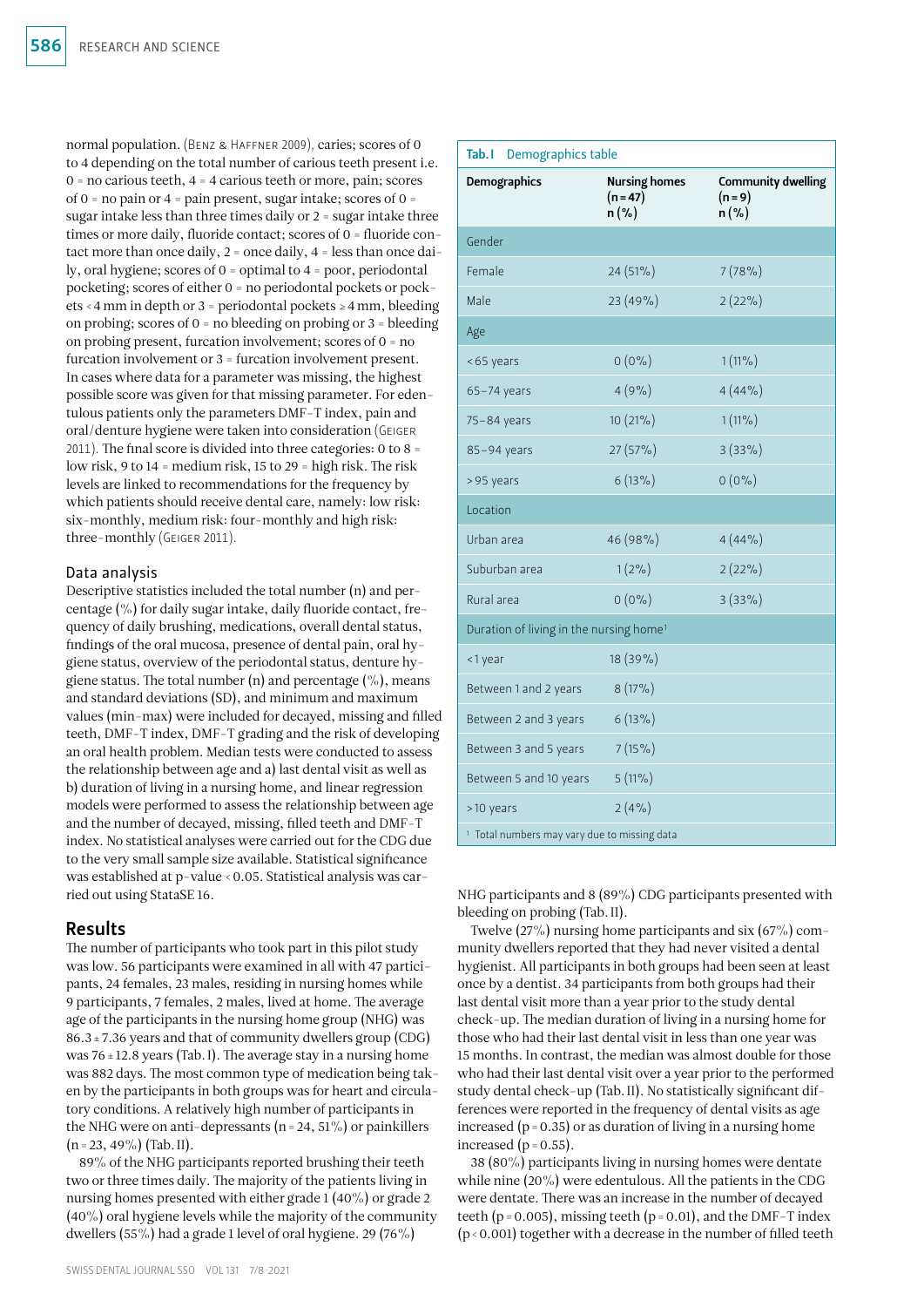normal population. (Benz & Haffner 2009), caries; scores of 0 to 4 depending on the total number of carious teeth present i.e.  $0 = no$  carious teeth,  $4 = 4$  carious teeth or more, pain; scores of  $0 =$  no pain or  $4 =$  pain present, sugar intake; scores of  $0 =$ sugar intake less than three times daily or 2 = sugar intake three times or more daily, fluoride contact; scores of 0 = fluoride contact more than once daily,  $2 =$  once daily,  $4 =$  less than once daily, oral hygiene; scores of 0 = optimal to 4 = poor, periodontal pocketing; scores of either 0 = no periodontal pockets or pockets <4mm in depth or 3 = periodontal pockets ≥4mm, bleeding on probing; scores of 0 = no bleeding on probing or 3 = bleeding on probing present, furcation involvement; scores of 0 = no furcation involvement or 3 = furcation involvement present. In cases where data for a parameter was missing, the highest possible score was given for that missing parameter. For edentulous patients only the parameters DMF-T index, pain and oral/denture hygiene were taken into consideration (Geiger 2011). The final score is divided into three categories: 0 to 8 = low risk, 9 to 14 = medium risk, 15 to 29 = high risk. The risk levels are linked to recommendations for the frequency by which patients should receive dental care, namely: low risk: six-monthly, medium risk: four-monthly and high risk: three-monthly (Geiger 2011).

#### Data analysis

Descriptive statistics included the total number (n) and percentage (%) for daily sugar intake, daily fluoride contact, frequency of daily brushing, medications, overall dental status, findings of the oral mucosa, presence of dental pain, oral hygiene status, overview of the periodontal status, denture hygiene status. The total number (n) and percentage  $(\%)$ , means and standard deviations (SD), and minimum and maximum values (min-max) were included for decayed, missing and filled teeth, DMF-T index, DMF-T grading and the risk of developing an oral health problem. Median tests were conducted to assess the relationship between age and a) last dental visit as well as b) duration of living in a nursing home, and linear regression models were performed to assess the relationship between age and the number of decayed, missing, filled teeth and DMF-T index. No statistical analyses were carried out for the CDG due to the very small sample size available. Statistical significance was established at p-value <0.05. Statistical analysis was carried out using StataSE 16.

## Results

The number of participants who took part in this pilot study was low. 56 participants were examined in all with 47 participants, 24 females, 23 males, residing in nursing homes while 9 participants, 7 females, 2 males, lived at home. The average age of the participants in the nursing home group (NHG) was 86.3±7.36 years and that of community dwellers group (CDG) was  $76 \pm 12.8$  years (Tab. I). The average stay in a nursing home was 882 days. The most common type of medication being taken by the participants in both groups was for heart and circulatory conditions. A relatively high number of participants in the NHG were on anti-depressants ( $n = 24$ ,  $51\%$ ) or painkillers  $(n=23, 49\%)$  (Tab. II).

89% of the NHG participants reported brushing their teeth two or three times daily. The majority of the patients living in nursing homes presented with either grade 1 (40%) or grade 2 (40%) oral hygiene levels while the majority of the community dwellers (55%) had a grade 1 level of oral hygiene. 29 (76%)

| <b>Demographics</b>                                     | <b>Nursing homes</b><br>$(n = 47)$<br>$n(\%)$ | <b>Community dwelling</b><br>$(n = 9)$<br>$n(\%)$ |
|---------------------------------------------------------|-----------------------------------------------|---------------------------------------------------|
| Gender                                                  |                                               |                                                   |
| Female                                                  | $24(51\%)$                                    | 7(78%)                                            |
| Male                                                    | 23 (49%)                                      | $2(22\%)$                                         |
| Age                                                     |                                               |                                                   |
| <65 years                                               | $0(0\%)$                                      | $1(11\%)$                                         |
| $65 - 74$ years                                         | 4(9%)                                         | 4(44%                                             |
| 75-84 years                                             | $10(21\%)$                                    | $1(11\%)$                                         |
| 85-94 years                                             | $27(57\%)$                                    | $3(33\%)$                                         |
| >95 years                                               | $6(13\%)$                                     | $0(0\%)$                                          |
| Location                                                |                                               |                                                   |
| Urban area                                              | 46 (98%)                                      | 4(44%                                             |
| Suburban area                                           | $1(2\%)$                                      | $2(22\%)$                                         |
| Rural area                                              | $0(0\%)$                                      | $3(33\%)$                                         |
| Duration of living in the nursing home <sup>1</sup>     |                                               |                                                   |
| <1 year                                                 | 18 (39%)                                      |                                                   |
| Between 1 and 2 years                                   | $8(17\%)$                                     |                                                   |
| Between 2 and 3 years                                   | $6(13\%)$                                     |                                                   |
| Between 3 and 5 years                                   | $7(15\%)$                                     |                                                   |
| Between 5 and 10 years                                  | $5(11\%)$                                     |                                                   |
| >10 years                                               | 2(4%                                          |                                                   |
| <sup>1</sup> Total numbers may vary due to missing data |                                               |                                                   |

Tab.I Demographics table

NHG participants and 8 (89%) CDG participants presented with bleeding on probing (Tab.II).

Twelve (27%) nursing home participants and six (67%) community dwellers reported that they had never visited a dental hygienist. All participants in both groups had been seen at least once by a dentist. 34 participants from both groups had their last dental visit more than a year prior to the study dental check-up. The median duration of living in a nursing home for those who had their last dental visit in less than one year was 15 months. In contrast, the median was almost double for those who had their last dental visit over a year prior to the performed study dental check-up (Tab.II). No statistically significant differences were reported in the frequency of dental visits as age increased ( $p = 0.35$ ) or as duration of living in a nursing home increased  $(p=0.55)$ .

38 (80%) participants living in nursing homes were dentate while nine (20%) were edentulous. All the patients in the CDG were dentate. There was an increase in the number of decayed teeth ( $p = 0.005$ ), missing teeth ( $p = 0.01$ ), and the DMF-T index  $(p<0.001)$  together with a decrease in the number of filled teeth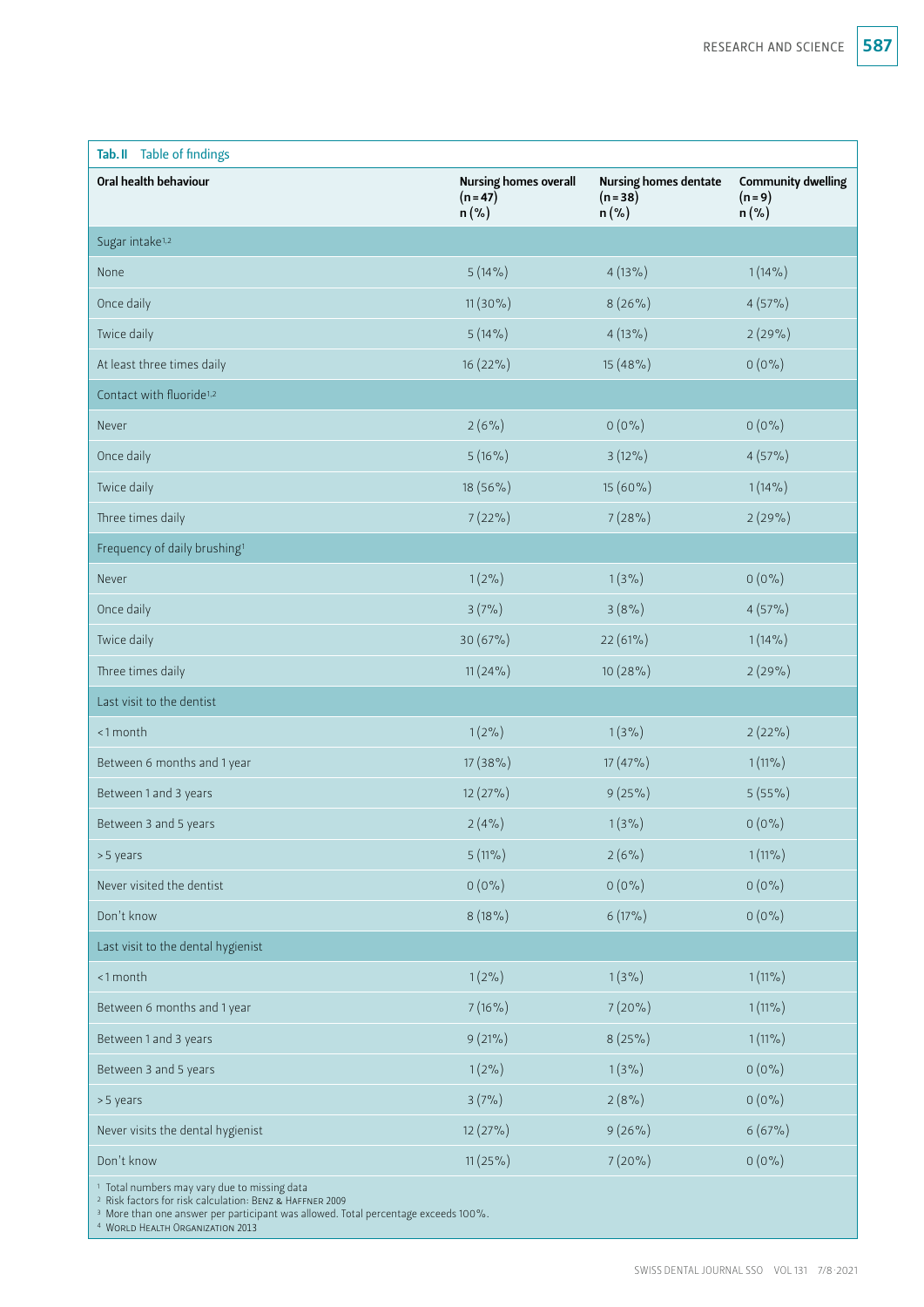| Tab. II Table of findings                               |                                                       |                                                     |                                                   |
|---------------------------------------------------------|-------------------------------------------------------|-----------------------------------------------------|---------------------------------------------------|
| Oral health behaviour                                   | <b>Nursing homes overall</b><br>$(n = 47)$<br>$n(\%)$ | <b>Nursing homes dentate</b><br>$(n=38)$<br>$n(\%)$ | <b>Community dwelling</b><br>$(n = 9)$<br>$n(\%)$ |
| Sugar intake <sup>1,2</sup>                             |                                                       |                                                     |                                                   |
| None                                                    | $5(14\%)$                                             | $4(13\%)$                                           | $1(14\%)$                                         |
| Once daily                                              | $11(30\%)$                                            | $8(26\%)$                                           | $4(57\%)$                                         |
| Twice daily                                             | $5(14\%)$                                             | $4(13\%)$                                           | 2(29%)                                            |
| At least three times daily                              | $16(22\%)$                                            | $15(48\%)$                                          | $0(0\%)$                                          |
| Contact with fluoride <sup>1,2</sup>                    |                                                       |                                                     |                                                   |
| Never                                                   | $2(6\%)$                                              | $0(0\%)$                                            | $0(0\%)$                                          |
| Once daily                                              | $5(16\%)$                                             | $3(12\%)$                                           | $4(57\%)$                                         |
| Twice daily                                             | 18 (56%)                                              | 15 (60%)                                            | $1(14\%)$                                         |
| Three times daily                                       | $7(22\%)$                                             | 7(28%)                                              | 2(29%)                                            |
| Frequency of daily brushing <sup>1</sup>                |                                                       |                                                     |                                                   |
| Never                                                   | $1(2\%)$                                              | $1(3\%)$                                            | $0(0\%)$                                          |
| Once daily                                              | 3(7%)                                                 | 3(8%)                                               | $4(57\%)$                                         |
| Twice daily                                             | 30 (67%)                                              | 22(61%)                                             | $1(14\%)$                                         |
| Three times daily                                       | $11(24\%)$                                            | $10(28\%)$                                          | 2(29%)                                            |
| Last visit to the dentist                               |                                                       |                                                     |                                                   |
| <1 month                                                | $1(2\%)$                                              | $1(3\%)$                                            | $2(22\%)$                                         |
| Between 6 months and 1 year                             | $17(38\%)$                                            | $17(47\%)$                                          | $1(11\%)$                                         |
| Between 1 and 3 years                                   | $12(27\%)$                                            | $9(25\%)$                                           | $5(55\%)$                                         |
| Between 3 and 5 years                                   | 2(4%)                                                 | $1(3\%)$                                            | $0(0\%)$                                          |
| >5 years                                                | $5(11\%)$                                             | $2(6\%)$                                            | $1(11\%)$                                         |
| Never visited the dentist                               | $0(0\%)$                                              | $0(0\%)$                                            | $0(0\%)$                                          |
| Don't know                                              | $8(18\%)$                                             | $6(17\%)$                                           | $0(0\%)$                                          |
| Last visit to the dental hygienist                      |                                                       |                                                     |                                                   |
| <1 month                                                | $1(2\%)$                                              | $1(3\%)$                                            | $1(11\%)$                                         |
| Between 6 months and 1 year                             | $7(16\%)$                                             | $7(20\%)$                                           | $1(11\%)$                                         |
| Between 1 and 3 years                                   | $9(21\%)$                                             | $8(25\%)$                                           | $1(11\%)$                                         |
| Between 3 and 5 years                                   | $1(2\%)$                                              | $1(3\%)$                                            | $0(0\%)$                                          |
| >5 years                                                | 3(7%)                                                 | 2(8%)                                               | $0(0\%)$                                          |
| Never visits the dental hygienist                       | $12(27\%)$                                            | $9(26\%)$                                           | 6(67%)                                            |
| Don't know                                              | $11(25\%)$                                            | $7(20\%)$                                           | $0(0\%)$                                          |
| <sup>1</sup> Total numbers may vary due to missing data |                                                       |                                                     |                                                   |

<sup>2</sup> Risk factors for risk calculation: Benz & Haffner 2009

<sup>3</sup> More than one answer per participant was allowed. Total percentage exceeds 100%.

<sup>4</sup> World Health Organization 2013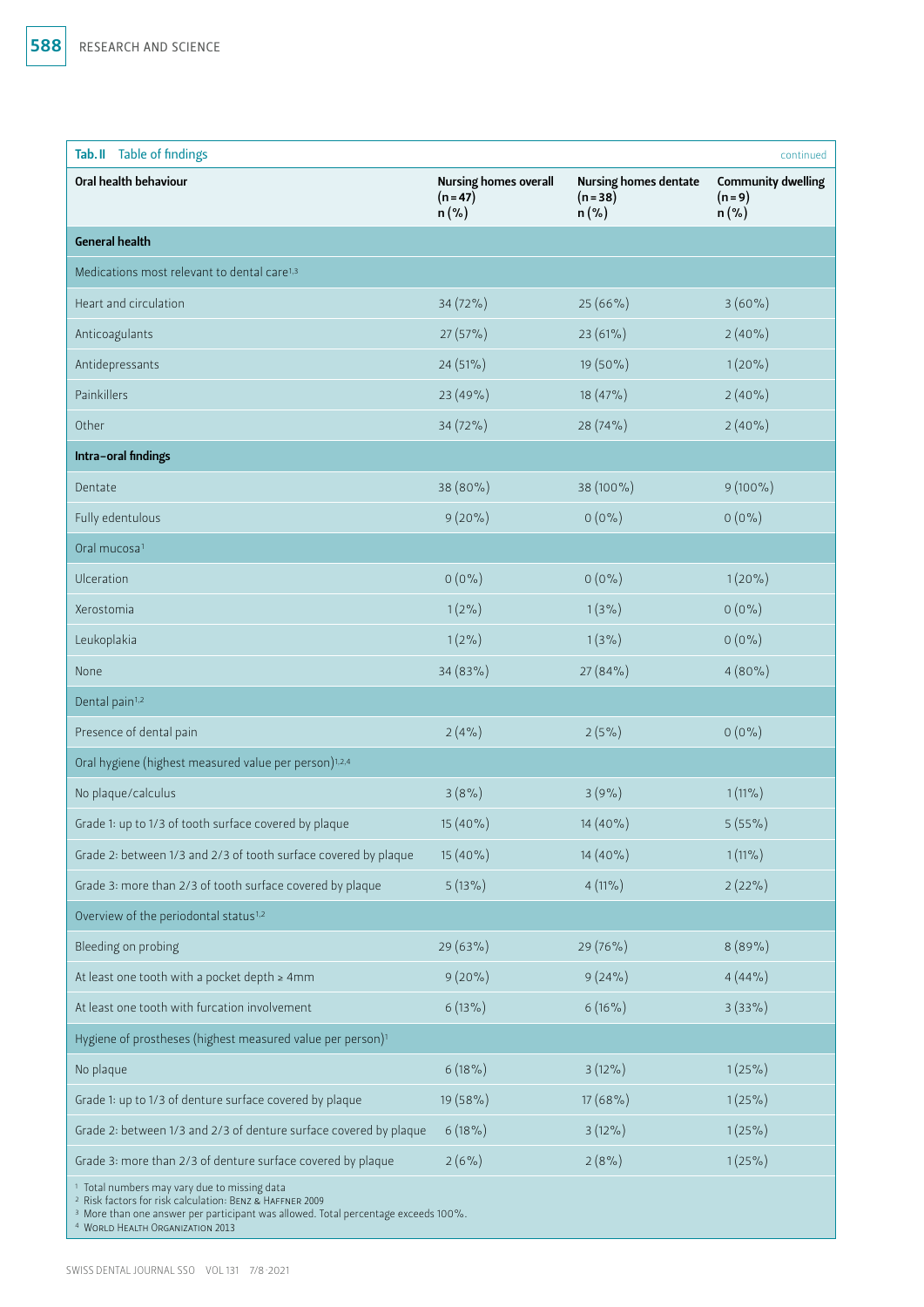| Tab. II Table of findings                                                                                                                                                                                                                                                      |                                                       |                                                     | continued                                         |
|--------------------------------------------------------------------------------------------------------------------------------------------------------------------------------------------------------------------------------------------------------------------------------|-------------------------------------------------------|-----------------------------------------------------|---------------------------------------------------|
| Oral health behaviour                                                                                                                                                                                                                                                          | <b>Nursing homes overall</b><br>$(n = 47)$<br>$n(\%)$ | <b>Nursing homes dentate</b><br>$(n=38)$<br>$n(\%)$ | <b>Community dwelling</b><br>$(n = 9)$<br>$n(\%)$ |
| <b>General health</b>                                                                                                                                                                                                                                                          |                                                       |                                                     |                                                   |
| Medications most relevant to dental care <sup>1,3</sup>                                                                                                                                                                                                                        |                                                       |                                                     |                                                   |
| Heart and circulation                                                                                                                                                                                                                                                          | 34 (72%)                                              | 25 (66%)                                            | $3(60\%)$                                         |
| Anticoagulants                                                                                                                                                                                                                                                                 | 27 (57%)                                              | 23 (61%)                                            | $2(40\%)$                                         |
| Antidepressants                                                                                                                                                                                                                                                                | 24 (51%)                                              | 19 (50%)                                            | $1(20\%)$                                         |
| Painkillers                                                                                                                                                                                                                                                                    | 23 (49%)                                              | 18 (47%)                                            | $2(40\%)$                                         |
| Other                                                                                                                                                                                                                                                                          | 34 (72%)                                              | 28 (74%)                                            | $2(40\%)$                                         |
| Intra-oral findings                                                                                                                                                                                                                                                            |                                                       |                                                     |                                                   |
| Dentate                                                                                                                                                                                                                                                                        | 38 (80%)                                              | 38 (100%)                                           | $9(100\%)$                                        |
| Fully edentulous                                                                                                                                                                                                                                                               | $9(20\%)$                                             | $0(0\%)$                                            | $0(0\%)$                                          |
| Oral mucosa <sup>1</sup>                                                                                                                                                                                                                                                       |                                                       |                                                     |                                                   |
| Ulceration                                                                                                                                                                                                                                                                     | $0(0\%)$                                              | $0(0\%)$                                            | $1(20\%)$                                         |
| Xerostomia                                                                                                                                                                                                                                                                     | $1(2\%)$                                              | $1(3\%)$                                            | $0(0\%)$                                          |
| Leukoplakia                                                                                                                                                                                                                                                                    | $1(2\%)$                                              | $1(3\%)$                                            | $0(0\%)$                                          |
| None                                                                                                                                                                                                                                                                           | 34 (83%)                                              | 27 (84%)                                            | $4(80\%)$                                         |
| Dental pain <sup>1,2</sup>                                                                                                                                                                                                                                                     |                                                       |                                                     |                                                   |
| Presence of dental pain                                                                                                                                                                                                                                                        | 2(4%)                                                 | 2(5%)                                               | $0(0\%)$                                          |
| Oral hygiene (highest measured value per person) <sup>1,2,4</sup>                                                                                                                                                                                                              |                                                       |                                                     |                                                   |
| No plaque/calculus                                                                                                                                                                                                                                                             | 3(8%)                                                 | 3(9%)                                               | $1(11\%)$                                         |
| Grade 1: up to 1/3 of tooth surface covered by plaque                                                                                                                                                                                                                          | 15 (40%)                                              | 14 (40%)                                            | $5(55\%)$                                         |
| Grade 2: between 1/3 and 2/3 of tooth surface covered by plaque                                                                                                                                                                                                                | $15(40\%)$                                            | $14(40\%)$                                          | $1(11\%)$                                         |
| Grade 3: more than 2/3 of tooth surface covered by plaque                                                                                                                                                                                                                      | $5(13\%)$                                             | $4(11\%)$                                           | $2(22\%)$                                         |
| Overview of the periodontal status <sup>1,2</sup>                                                                                                                                                                                                                              |                                                       |                                                     |                                                   |
| Bleeding on probing                                                                                                                                                                                                                                                            | 29 (63%)                                              | 29 (76%)                                            | 8(89%)                                            |
| At least one tooth with a pocket depth $\geq 4$ mm                                                                                                                                                                                                                             | $9(20\%)$                                             | $9(24\%)$                                           | 4(44%                                             |
| At least one tooth with furcation involvement                                                                                                                                                                                                                                  | $6(13\%)$                                             | $6(16\%)$                                           | $3(33\%)$                                         |
| Hygiene of prostheses (highest measured value per person) <sup>1</sup>                                                                                                                                                                                                         |                                                       |                                                     |                                                   |
| No plaque                                                                                                                                                                                                                                                                      | $6(18\%)$                                             | $3(12\%)$                                           | $1(25\%)$                                         |
| Grade 1: up to 1/3 of denture surface covered by plaque                                                                                                                                                                                                                        | 19 (58%)                                              | $17(68\%)$                                          | $1(25\%)$                                         |
| Grade 2: between 1/3 and 2/3 of denture surface covered by plaque                                                                                                                                                                                                              | $6(18\%)$                                             | $3(12\%)$                                           | $1(25\%)$                                         |
| Grade 3: more than 2/3 of denture surface covered by plaque                                                                                                                                                                                                                    | $2(6\%)$                                              | 2(8%                                                | $1(25\%)$                                         |
| <sup>1</sup> Total numbers may vary due to missing data<br><sup>2</sup> Risk factors for risk calculation: BENZ & HAFFNER 2009<br><sup>3</sup> More than one answer per participant was allowed. Total percentage exceeds 100%.<br><sup>4</sup> WORLD HEALTH ORGANIZATION 2013 |                                                       |                                                     |                                                   |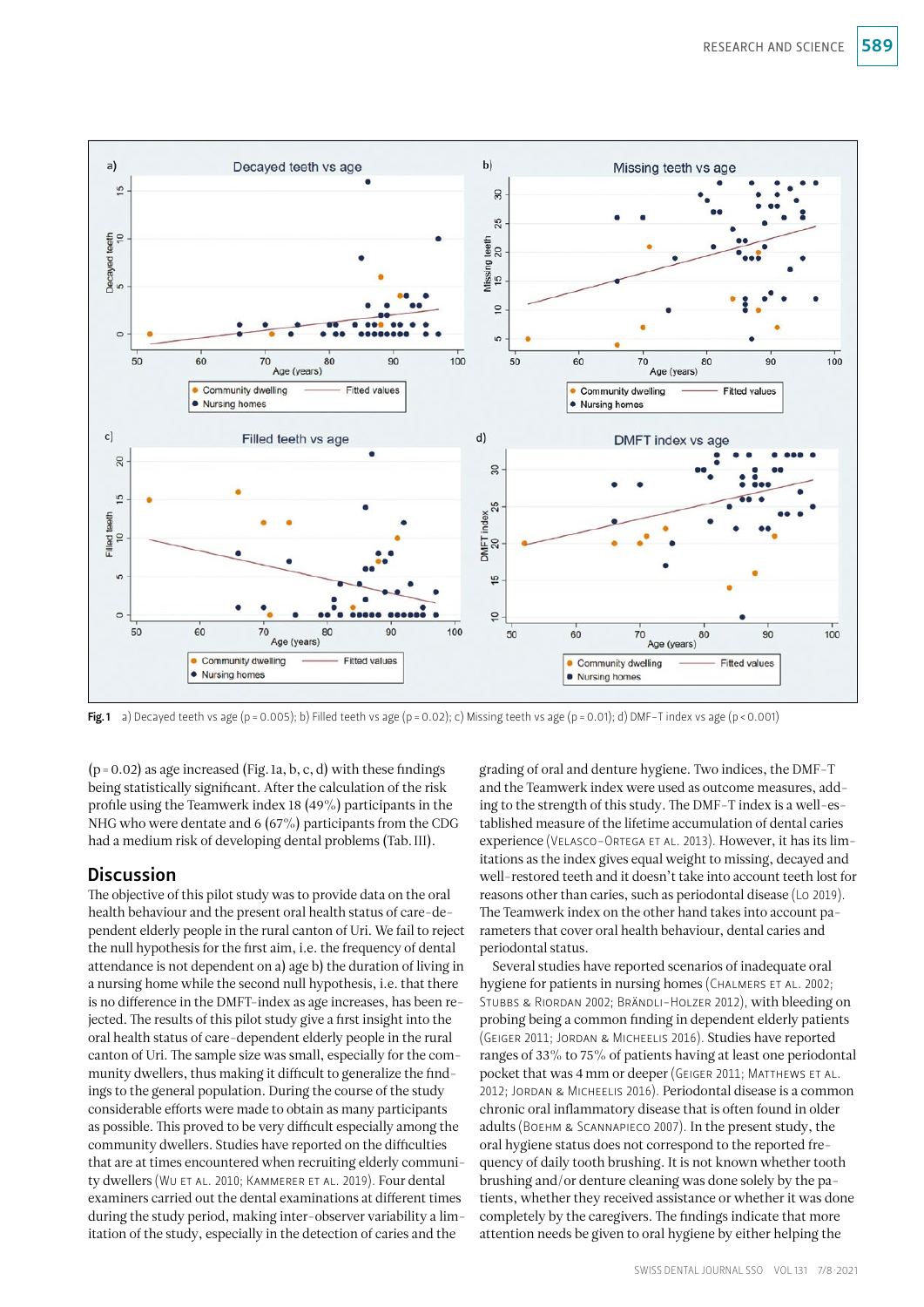

Fig.1 a) Decayed teeth vs age (p = 0.005); b) Filled teeth vs age (p = 0.02); c) Missing teeth vs age (p = 0.01); d) DMF-T index vs age (p < 0.001)

 $(p=0.02)$  as age increased (Fig. 1a, b, c, d) with these findings being statistically significant. After the calculation of the risk profile using the Teamwerk index 18 (49%) participants in the NHG who were dentate and 6 (67%) participants from the CDG had a medium risk of developing dental problems (Tab.III).

## **Discussion**

The objective of this pilot study was to provide data on the oral health behaviour and the present oral health status of care-dependent elderly people in the rural canton of Uri. We fail to reject the null hypothesis for the first aim, i.e. the frequency of dental attendance is not dependent on a) age b) the duration of living in a nursing home while the second null hypothesis, i.e. that there is no difference in the DMFT-index as age increases, has been rejected. The results of this pilot study give a first insight into the oral health status of care-dependent elderly people in the rural canton of Uri. The sample size was small, especially for the community dwellers, thus making it difficult to generalize the findings to the general population. During the course of the study considerable efforts were made to obtain as many participants as possible. This proved to be very difficult especially among the community dwellers. Studies have reported on the difficulties that are at times encountered when recruiting elderly community dwellers (Wu et al. 2010; Kammerer et al. 2019). Four dental examiners carried out the dental examinations at different times during the study period, making inter-observer variability a limitation of the study, especially in the detection of caries and the

grading of oral and denture hygiene. Two indices, the DMF-T and the Teamwerk index were used as outcome measures, adding to the strength of this study. The DMF-T index is a well-established measure of the lifetime accumulation of dental caries experience (Velasco-Ortega et al. 2013). However, it has its limitations as the index gives equal weight to missing, decayed and well-restored teeth and it doesn't take into account teeth lost for reasons other than caries, such as periodontal disease (Lo 2019). The Teamwerk index on the other hand takes into account parameters that cover oral health behaviour, dental caries and periodontal status.

Several studies have reported scenarios of inadequate oral hygiene for patients in nursing homes (CHALMERS ET AL. 2002; STUBBS & RIORDAN 2002; BRÄNDLI-HOLZER 2012), with bleeding on probing being a common finding in dependent elderly patients (Geiger 2011; Jordan & Micheelis 2016). Studies have reported ranges of 33% to 75% of patients having at least one periodontal pocket that was 4 mm or deeper (GEIGER 2011; MATTHEWS ET AL. 2012; JORDAN & MICHEELIS 2016). Periodontal disease is a common chronic oral inflammatory disease that is often found in older adults (Boehm & Scannapieco 2007). In the present study, the oral hygiene status does not correspond to the reported frequency of daily tooth brushing. It is not known whether tooth brushing and/or denture cleaning was done solely by the patients, whether they received assistance or whether it was done completely by the caregivers. The findings indicate that more attention needs be given to oral hygiene by either helping the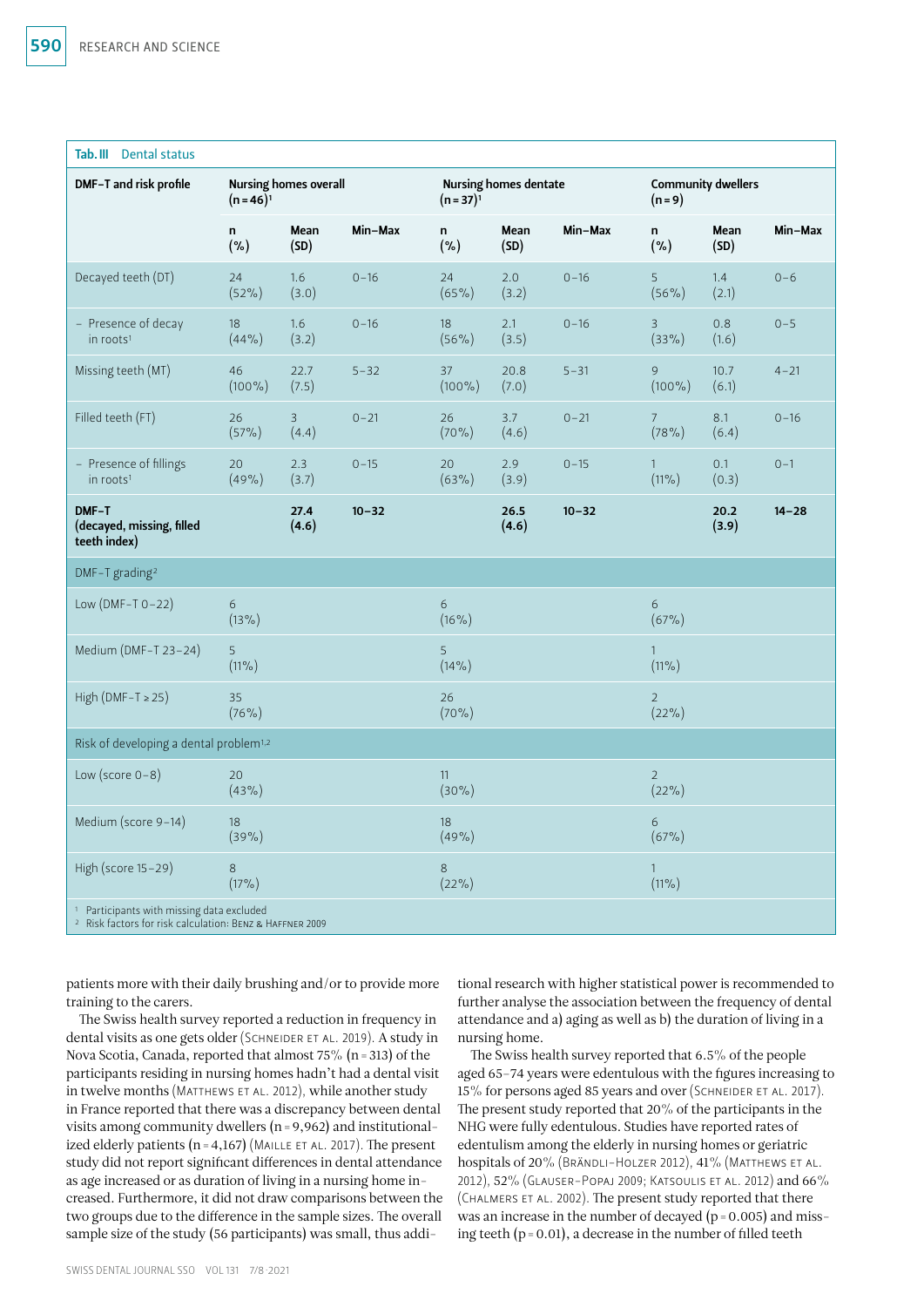| Tab. III Dental status                                                                                                      |                                              |               |           |                                              |               |           |                                      |               |           |
|-----------------------------------------------------------------------------------------------------------------------------|----------------------------------------------|---------------|-----------|----------------------------------------------|---------------|-----------|--------------------------------------|---------------|-----------|
| DMF-T and risk profile                                                                                                      | <b>Nursing homes overall</b><br>$(n=46)^{1}$ |               |           | <b>Nursing homes dentate</b><br>$(n=37)^{1}$ |               |           | <b>Community dwellers</b><br>$(n=9)$ |               |           |
|                                                                                                                             | n<br>$(\% )$                                 | Mean<br>(SD)  | Min-Max   | n<br>$(\% )$                                 | Mean<br>(SD)  | Min-Max   | n<br>(% )                            | Mean<br>(SD)  | Min-Max   |
| Decayed teeth (DT)                                                                                                          | 24<br>$(52\%)$                               | 1.6<br>(3.0)  | $0 - 16$  | 24<br>$(65\%)$                               | 2.0<br>(3.2)  | $0 - 16$  | 5<br>$(56\%)$                        | 1.4<br>(2.1)  | $0 - 6$   |
| - Presence of decay<br>in roots <sup>1</sup>                                                                                | 18<br>(44% )                                 | 1.6<br>(3.2)  | $0 - 16$  | 18<br>$(56\%)$                               | 2.1<br>(3.5)  | $0 - 16$  | $\mathsf{3}$<br>$(33\%)$             | 0.8<br>(1.6)  | $0 - 5$   |
| Missing teeth (MT)                                                                                                          | 46<br>$(100\%)$                              | 22.7<br>(7.5) | $5 - 32$  | 37<br>$(100\%)$                              | 20.8<br>(7.0) | $5 - 31$  | 9<br>$(100\%)$                       | 10.7<br>(6.1) | $4 - 21$  |
| Filled teeth (FT)                                                                                                           | 26<br>$(57\%)$                               | 3<br>(4.4)    | $0 - 21$  | 26<br>$(70\%)$                               | 3.7<br>(4.6)  | $0 - 21$  | 7<br>(78%)                           | 8.1<br>(6.4)  | $0 - 16$  |
| - Presence of fillings<br>in roots <sup>1</sup>                                                                             | 20<br>(49%                                   | 2.3<br>(3.7)  | $0 - 15$  | 20<br>$(63\%)$                               | 2.9<br>(3.9)  | $0 - 15$  | $\mathbf{1}$<br>$(11\%)$             | 0.1<br>(0.3)  | $0 - 1$   |
| DMF-T<br>(decayed, missing, filled<br>teeth index)                                                                          |                                              | 27.4<br>(4.6) | $10 - 32$ |                                              | 26.5<br>(4.6) | $10 - 32$ |                                      | 20.2<br>(3.9) | $14 - 28$ |
| DMF-T grading <sup>2</sup>                                                                                                  |                                              |               |           |                                              |               |           |                                      |               |           |
| Low (DMF-T $0-22$ )                                                                                                         | 6<br>$(13\%)$                                |               |           | 6<br>$(16\%)$                                |               |           | 6<br>(67%)                           |               |           |
| Medium (DMF-T 23-24)                                                                                                        | 5<br>$(11\%)$                                |               |           | 5<br>$(14\%)$                                |               |           | $\mathbf{1}$<br>$(11\%)$             |               |           |
| High (DMF-T $\ge$ 25)                                                                                                       | 35<br>(76%)                                  |               |           | 26<br>$(70\%)$                               |               |           | $\overline{2}$<br>$(22\%)$           |               |           |
| Risk of developing a dental problem <sup>1,2</sup>                                                                          |                                              |               |           |                                              |               |           |                                      |               |           |
| Low (score $0-8$ )                                                                                                          | 20<br>$(43\%)$                               |               |           | 11<br>$(30\%)$                               |               |           | $\overline{2}$<br>$(22\%)$           |               |           |
| Medium (score 9-14)                                                                                                         | 18<br>(39%)                                  |               |           | 18<br>(49%                                   |               |           | 6<br>(67%)                           |               |           |
| High (score 15-29)                                                                                                          | 8<br>$(17\%)$                                |               |           | 8<br>$(22\%)$                                |               |           | $\mathbf{1}$<br>$(11\%)$             |               |           |
| <sup>1</sup> Participants with missing data excluded<br><sup>2</sup> Risk factors for risk calculation: BENZ & HAFFNER 2009 |                                              |               |           |                                              |               |           |                                      |               |           |

patients more with their daily brushing and/or to provide more training to the carers.

The Swiss health survey reported a reduction in frequency in dental visits as one gets older (SCHNEIDER ET AL. 2019). A study in Nova Scotia, Canada, reported that almost 75% (n=313) of the participants residing in nursing homes hadn't had a dental visit in twelve months (Matthews et al. 2012), while another study in France reported that there was a discrepancy between dental visits among community dwellers (n=9,962) and institutionalized elderly patients ( $n=4,167$ ) (MAILLE ET AL. 2017). The present study did not report significant differences in dental attendance as age increased or as duration of living in a nursing home increased. Furthermore, it did not draw comparisons between the two groups due to the difference in the sample sizes. The overall sample size of the study (56 participants) was small, thus additional research with higher statistical power is recommended to further analyse the association between the frequency of dental attendance and a) aging as well as b) the duration of living in a nursing home.

The Swiss health survey reported that 6.5% of the people aged 65–74 years were edentulous with the figures increasing to 15% for persons aged 85 years and over (SCHNEIDER ET AL. 2017). The present study reported that 20% of the participants in the NHG were fully edentulous. Studies have reported rates of edentulism among the elderly in nursing homes or geriatric hospitals of 20% (BRÄNDLI-HOLZER 2012), 41% (MATTHEWS ET AL. 2012), 52% (Glauser-Popaj 2009; Katsoulis et al. 2012) and 66% (Chalmers et al. 2002). The present study reported that there was an increase in the number of decayed ( $p = 0.005$ ) and missing teeth  $(p=0.01)$ , a decrease in the number of filled teeth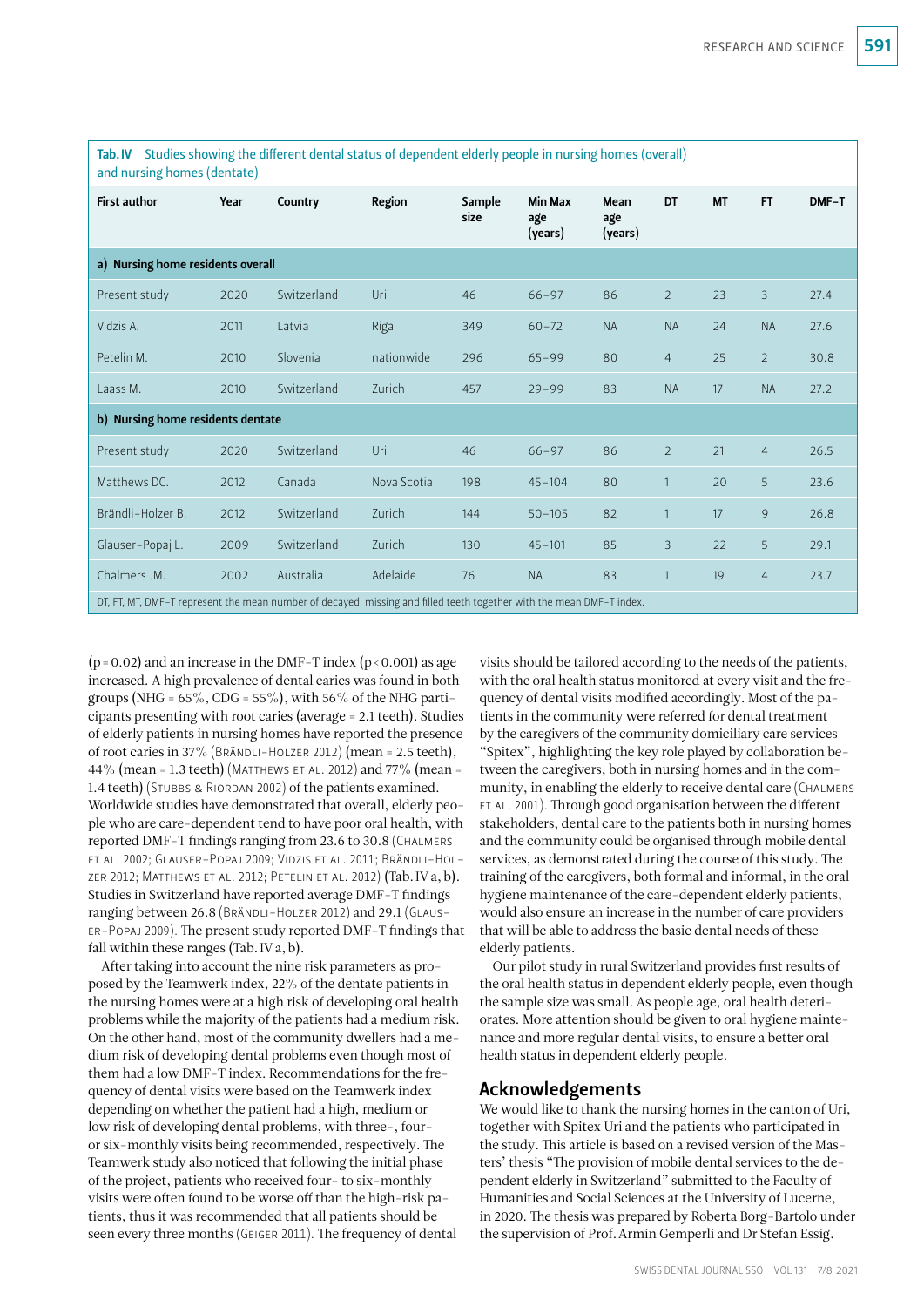| Tab.IV Studies showing the different dental status of dependent elderly people in nursing homes (overall)<br>and nursing homes (dentate) |      |             |             |                |                                  |                        |                |           |                |       |
|------------------------------------------------------------------------------------------------------------------------------------------|------|-------------|-------------|----------------|----------------------------------|------------------------|----------------|-----------|----------------|-------|
| <b>First author</b>                                                                                                                      | Year | Country     | Region      | Sample<br>size | <b>Min Max</b><br>age<br>(years) | Mean<br>age<br>(years) | <b>DT</b>      | <b>MT</b> | <b>FT</b>      | DMF-T |
| a) Nursing home residents overall                                                                                                        |      |             |             |                |                                  |                        |                |           |                |       |
| Present study                                                                                                                            | 2020 | Switzerland | Uri         | 46             | $66 - 97$                        | 86                     | $\overline{2}$ | 23        | 3              | 27.4  |
| Vidzis A.                                                                                                                                | 2011 | Latvia      | Riga        | 349            | $60 - 72$                        | <b>NA</b>              | <b>NA</b>      | 24        | <b>NA</b>      | 27.6  |
| Petelin M.                                                                                                                               | 2010 | Slovenia    | nationwide  | 296            | $65 - 99$                        | 80                     | $\overline{4}$ | 25        | $\overline{2}$ | 30.8  |
| Laass M.                                                                                                                                 | 2010 | Switzerland | Zurich      | 457            | $29 - 99$                        | 83                     | <b>NA</b>      | 17        | <b>NA</b>      | 27.2  |
| b) Nursing home residents dentate                                                                                                        |      |             |             |                |                                  |                        |                |           |                |       |
| Present study                                                                                                                            | 2020 | Switzerland | Uri         | 46             | $66 - 97$                        | 86                     | $\overline{2}$ | 21        | $\overline{4}$ | 26.5  |
| Matthews DC.                                                                                                                             | 2012 | Canada      | Nova Scotia | 198            | $45 - 104$                       | 80                     | $\mathbf{1}$   | 20        | 5              | 23.6  |
| Brändli-Holzer B.                                                                                                                        | 2012 | Switzerland | Zurich      | 144            | $50 - 105$                       | 82                     | $\mathbf{1}$   | 17        | 9              | 26.8  |
| Glauser-Popaj L.                                                                                                                         | 2009 | Switzerland | Zurich      | 130            | $45 - 101$                       | 85                     | 3              | 22        | 5              | 29.1  |
| Chalmers JM.                                                                                                                             | 2002 | Australia   | Adelaide    | 76             | <b>NA</b>                        | 83                     | $\mathbf{1}$   | 19        | $\overline{4}$ | 23.7  |
| DT, FT, MT, DMF-T represent the mean number of decayed, missing and filled teeth together with the mean DMF-T index.                     |      |             |             |                |                                  |                        |                |           |                |       |

Tab.IV Studies showing the different dental status of dependent elderly people in nursing homes (overall)

 $(p=0.02)$  and an increase in the DMF-T index  $(p < 0.001)$  as age increased. A high prevalence of dental caries was found in both groups (NHG =  $65\%$ , CDG =  $55\%$ ), with  $56\%$  of the NHG participants presenting with root caries (average = 2.1 teeth). Studies of elderly patients in nursing homes have reported the presence of root caries in 37% (Brändli-Holzer 2012) (mean = 2.5 teeth), 44% (mean = 1.3 teeth) (MATTHEWS ET AL. 2012) and 77% (mean = 1.4 teeth) (STUBBS & RIORDAN 2002) of the patients examined. Worldwide studies have demonstrated that overall, elderly people who are care-dependent tend to have poor oral health, with reported DMF-T findings ranging from 23.6 to 30.8 (Chalmers et al. 2002; Glauser-Popaj 2009; Vidzis et al. 2011; Brändli-Holzer 2012; Matthews et al. 2012; Petelin et al. 2012) (Tab.IV a, b). Studies in Switzerland have reported average DMF-T findings ranging between 26.8 (BRÄNDLI-HOLZER 2012) and 29.1 (GLAUSer-Popaj 2009). The present study reported DMF-T findings that fall within these ranges (Tab.IV a, b).

After taking into account the nine risk parameters as proposed by the Teamwerk index, 22% of the dentate patients in the nursing homes were at a high risk of developing oral health problems while the majority of the patients had a medium risk. On the other hand, most of the community dwellers had a medium risk of developing dental problems even though most of them had a low DMF-T index. Recommendations for the frequency of dental visits were based on the Teamwerk index depending on whether the patient had a high, medium or low risk of developing dental problems, with three-, fouror six-monthly visits being recommended, respectively. The Teamwerk study also noticed that following the initial phase of the project, patients who received four- to six-monthly visits were often found to be worse off than the high-risk patients, thus it was recommended that all patients should be seen every three months (Geiger 2011). The frequency of dental

visits should be tailored according to the needs of the patients, with the oral health status monitored at every visit and the frequency of dental visits modified accordingly. Most of the patients in the community were referred for dental treatment by the caregivers of the community domiciliary care services "Spitex", highlighting the key role played by collaboration between the caregivers, both in nursing homes and in the community, in enabling the elderly to receive dental care (Chalmers et al. 2001). Through good organisation between the different stakeholders, dental care to the patients both in nursing homes and the community could be organised through mobile dental services, as demonstrated during the course of this study. The training of the caregivers, both formal and informal, in the oral hygiene maintenance of the care-dependent elderly patients, would also ensure an increase in the number of care providers that will be able to address the basic dental needs of these elderly patients.

Our pilot study in rural Switzerland provides first results of the oral health status in dependent elderly people, even though the sample size was small. As people age, oral health deteriorates. More attention should be given to oral hygiene maintenance and more regular dental visits, to ensure a better oral health status in dependent elderly people.

#### Acknowledgements

We would like to thank the nursing homes in the canton of Uri, together with Spitex Uri and the patients who participated in the study. This article is based on a revised version of the Masters' thesis "The provision of mobile dental services to the dependent elderly in Switzerland" submitted to the Faculty of Humanities and Social Sciences at the University of Lucerne, in 2020. The thesis was prepared by Roberta Borg-Bartolo under the supervision of Prof.Armin Gemperli and Dr Stefan Essig.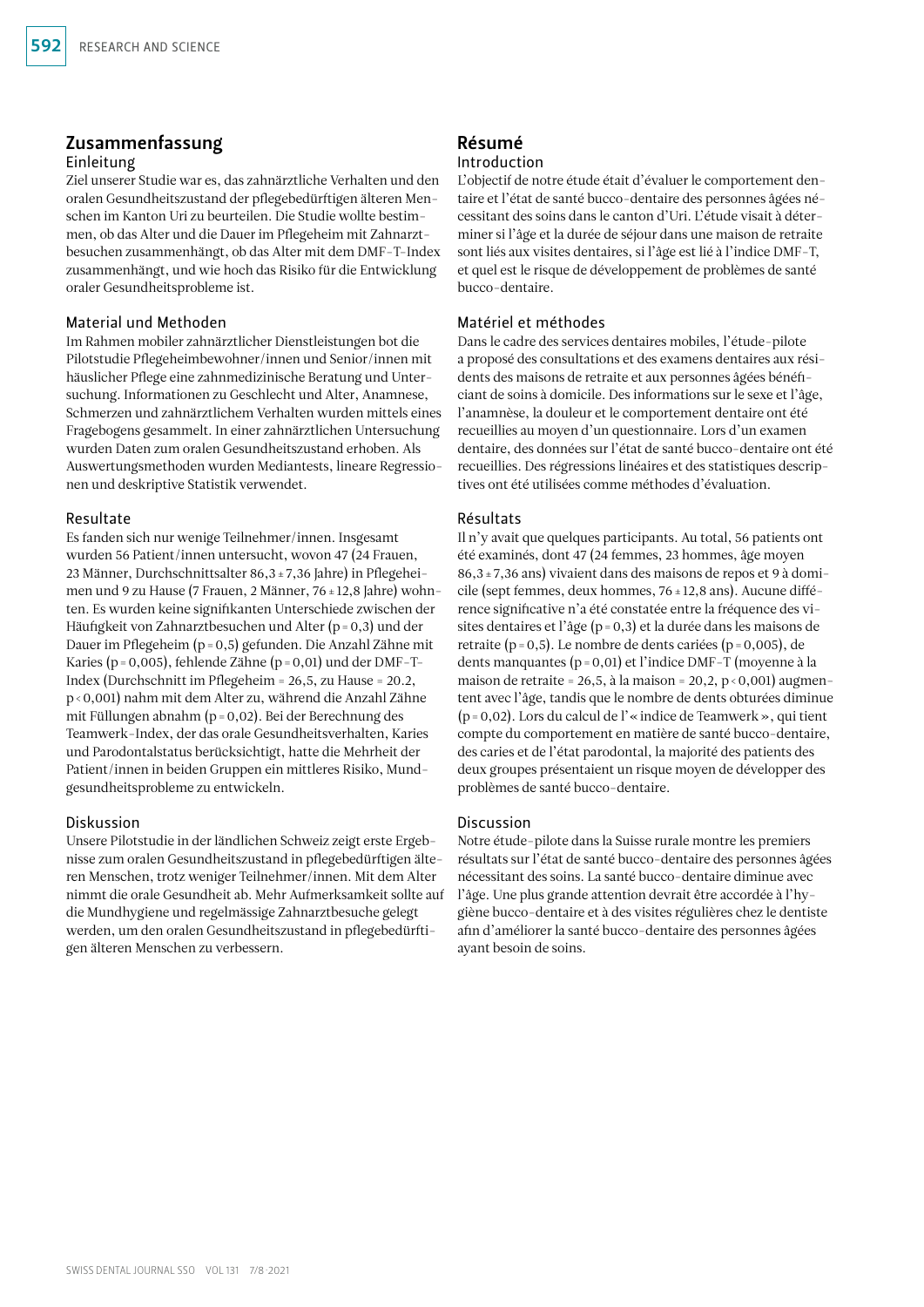# Zusammenfassung

#### Einleitung

Ziel unserer Studie war es, das zahnärztliche Verhalten und den oralen Gesundheitszustand der pflegebedürftigen älteren Menschen im Kanton Uri zu beurteilen. Die Studie wollte bestimmen, ob das Alter und die Dauer im Pflegeheim mit Zahnarztbesuchen zusammenhängt, ob das Alter mit dem DMF-T-Index zusammenhängt, und wie hoch das Risiko für die Entwicklung oraler Gesundheitsprobleme ist.

#### Material und Methoden

Im Rahmen mobiler zahnärztlicher Dienstleistungen bot die Pilotstudie Pflegeheimbewohner/innen und Senior/innen mit häuslicher Pflege eine zahnmedizinische Beratung und Untersuchung. Informationen zu Geschlecht und Alter, Anamnese, Schmerzen und zahnärztlichem Verhalten wurden mittels eines Fragebogens gesammelt. In einer zahnärztlichen Untersuchung wurden Daten zum oralen Gesundheitszustand erhoben. Als Auswertungsmethoden wurden Mediantests, lineare Regressionen und deskriptive Statistik verwendet.

#### Resultate

Es fanden sich nur wenige Teilnehmer/innen. Insgesamt wurden 56 Patient/innen untersucht, wovon 47 (24 Frauen, 23 Männer, Durchschnittsalter 86,3±7,36 Jahre) in Pflegeheimen und 9 zu Hause (7 Frauen, 2 Männer, 76±12,8 Jahre) wohnten. Es wurden keine signifikanten Unterschiede zwischen der Häufigkeit von Zahnarztbesuchen und Alter (p=0,3) und der Dauer im Pflegeheim (p=0,5) gefunden. Die Anzahl Zähne mit Karies (p=0,005), fehlende Zähne (p=0,01) und der DMF-T-Index (Durchschnitt im Pflegeheim = 26,5, zu Hause = 20.2, p<0,001) nahm mit dem Alter zu, während die Anzahl Zähne mit Füllungen abnahm (p=0,02). Bei der Berechnung des Teamwerk-Index, der das orale Gesundheitsverhalten, Karies und Parodontalstatus berücksichtigt, hatte die Mehrheit der Patient/innen in beiden Gruppen ein mittleres Risiko, Mundgesundheitsprobleme zu entwickeln.

#### Diskussion

Unsere Pilotstudie in der ländlichen Schweiz zeigt erste Ergebnisse zum oralen Gesundheitszustand in pflegebedürftigen älteren Menschen, trotz weniger Teilnehmer/innen. Mit dem Alter nimmt die orale Gesundheit ab. Mehr Aufmerksamkeit sollte auf die Mundhygiene und regelmässige Zahnarztbesuche gelegt werden, um den oralen Gesundheitszustand in pflegebedürftigen älteren Menschen zu verbessern.

# Résumé

#### Introduction

L'objectif de notre étude était d'évaluer le comportement dentaire et l'état de santé bucco-dentaire des personnes âgées nécessitant des soins dans le canton d'Uri. L'étude visait à déterminer si l'âge et la durée de séjour dans une maison de retraite sont liés aux visites dentaires, si l'âge est lié à l'indice DMF-T, et quel est le risque de développement de problèmes de santé bucco-dentaire.

#### Matériel et méthodes

Dans le cadre des services dentaires mobiles, l'étude-pilote a proposé des consultations et des examens dentaires aux résidents des maisons de retraite et aux personnes âgées bénéficiant de soins à domicile. Des informations sur le sexe et l'âge, l'anamnèse, la douleur et le comportement dentaire ont été recueillies au moyen d'un questionnaire. Lors d'un examen dentaire, des données sur l'état de santé bucco-dentaire ont été recueillies. Des régressions linéaires et des statistiques descriptives ont été utilisées comme méthodes d'évaluation.

#### Résultats

Il n'y avait que quelques participants. Au total, 56 patients ont été examinés, dont 47 (24 femmes, 23 hommes, âge moyen 86,3±7,36 ans) vivaient dans des maisons de repos et 9 à domicile (sept femmes, deux hommes, 76±12,8 ans). Aucune différence significative n'a été constatée entre la fréquence des visites dentaires et l'âge (p=0,3) et la durée dans les maisons de retraite (p=0,5). Le nombre de dents cariées (p=0,005), de dents manquantes (p=0,01) et l'indice DMF-T (moyenne à la maison de retraite = 26,5, à la maison = 20,2, p < 0,001) augmentent avec l'âge, tandis que le nombre de dents obturées diminue (p=0,02). Lors du calcul de l'«indice de Teamwerk», qui tient compte du comportement en matière de santé bucco-dentaire, des caries et de l'état parodontal, la majorité des patients des deux groupes présentaient un risque moyen de développer des problèmes de santé bucco-dentaire.

#### Discussion

Notre étude-pilote dans la Suisse rurale montre les premiers résultats sur l'état de santé bucco-dentaire des personnes âgées nécessitant des soins. La santé bucco-dentaire diminue avec l'âge. Une plus grande attention devrait être accordée à l'hygiène bucco-dentaire et à des visites régulières chez le dentiste afin d'améliorer la santé bucco-dentaire des personnes âgées ayant besoin de soins.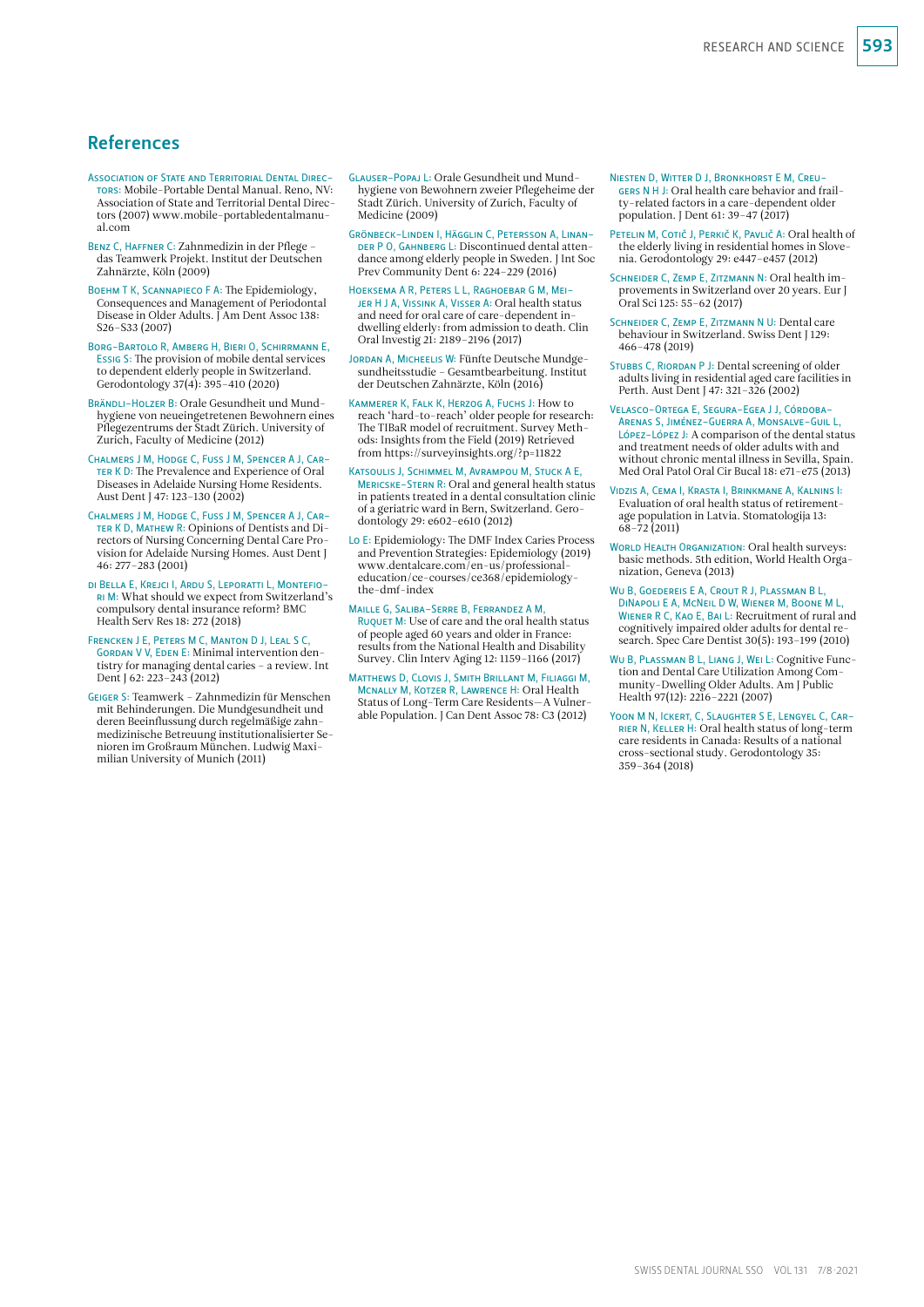# References

- Association of State and Territorial Dental Directors: Mobile-Portable Dental Manual. Reno, NV: Association of State and Territorial Dental Directors (2007) [www.mobile-portabledentalmanu](http://www.mobile-portabledentalmanual.com)[al.com](http://www.mobile-portabledentalmanual.com)
- BENZ C, HAFFNER C: Zahnmedizin in der Pflege das Teamwerk Projekt. Institut der Deutschen Zahnärzte, Köln (2009)
- Boehm T K, Scannapieco F A: The Epidemiology, Consequences and Management of Periodontal Disease in Older Adults. J Am Dent Assoc 138: S26–S33 (2007)
- Borg-Bartolo R, Amberg H, Bieri O, Schirrmann E, Essig S: The provision of mobile dental services to dependent elderly people in Switzerland. Gerodontology 37(4): 395–410 (2020)
- BRÄNDLI-HOLZER B: Orale Gesundheit und Mundhygiene von neueingetretenen Bewohnern eines Pflegezentrums der Stadt Zürich. University of Zurich, Faculty of Medicine (2012)
- Chalmers J M, Hodge C, Fuss J M, Spencer A J, Car-TER K D: The Prevalence and Experience of Oral Diseases in Adelaide Nursing Home Residents. Aust Dent J 47: 123–130 (2002)
- Chalmers J M, Hodge C, Fuss J M, Spencer A J, Car-TER K D, MATHEW R: Opinions of Dentists and Directors of Nursing Concerning Dental Care Provision for Adelaide Nursing Homes. Aust Dent J 46: 277–283 (2001)
- di Bella E, Krejci I, Ardu S, Leporatti L, Montefiori M: What should we expect from Switzerland's compulsory dental insurance reform? BMC Health Serv Res 18: 272 (2018)
- Frencken J E, Peters M C, Manton D J, Leal S C, GORDAN V V, EDEN E: Minimal intervention dentistry for managing dental caries – a review. Int Dent J 62: 223–243 (2012)
- Geiger S: Teamwerk Zahnmedizin für Menschen mit Behinderungen. Die Mundgesundheit und deren Beeinflussung durch regelmäßige zahnmedizinische Betreuung institutionalisierter Senioren im Großraum München. Ludwig Maximilian University of Munich (2011)
- Glauser-Popaj L: Orale Gesundheit und Mundhygiene von Bewohnern zweier Pflegeheime der Stadt Zürich. University of Zurich, Faculty of Medicine (2009)
- Grönbeck-Linden I, Hägglin C, Petersson A, Linan-DER P O, GAHNBERG L: Discontinued dental attendance among elderly people in Sweden. J Int Soc Prev Community Dent 6: 224–229 (2016)
- Hoeksema A R, Peters L L, Raghoebar G M, Meijer H J A, Vissink A, Visser A: Oral health status and need for oral care of care-dependent indwelling elderly: from admission to death. Clin Oral Investig 21: 2189–2196 (2017)
- Jordan A, Micheelis W: Fünfte Deutsche Mundge-sundheitsstudie Gesamtbearbeitung. Institut der Deutschen Zahnärzte, Köln (2016)
- Kammerer K, Falk K, Herzog A, Fuchs J: How to reach 'hard-to-reach' older people for research: The TIBaR model of recruitment. Survey Methods: Insights from the Field (2019) Retrieved from <https://surveyinsights.org/?p=11822>
- Katsoulis J, Schimmel M, Avrampou M, Stuck A E, MERICSKE-STERN R: Oral and general health status in patients treated in a dental consultation clinic of a geriatric ward in Bern, Switzerland. Gerodontology 29: e602–e610 (2012)
- Lo E: Epidemiology: The DMF Index Caries Process and Prevention Strategies: Epidemiology (2019) [www.dentalcare.com/en-us/professional](http://www.dentalcare.com/en-us/professional-education/ce-courses/ce368/epidemiology-the-dmf-index)[education/ce-courses/ce368/epidemiology](http://www.dentalcare.com/en-us/professional-education/ce-courses/ce368/epidemiology-the-dmf-index)[the-dmf-index](http://www.dentalcare.com/en-us/professional-education/ce-courses/ce368/epidemiology-the-dmf-index)
- Maille G, Saliba-Serre B, Ferrandez A M, RUQUET M: Use of care and the oral health status of people aged 60 years and older in France: results from the National Health and Disability Survey. Clin Interv Aging 12: 1159–1166 (2017)
- Matthews D, Clovis J, Smith Brillant M, Filiaggi M, Mcnally M, Kotzer R, Lawrence H: Oral Health Status of Long-Term Care Residents—A Vulnerable Population. J Can Dent Assoc 78: C3 (2012)
- Niesten D, Witter D J, Bronkhorst E M, Creugers N H J: Oral health care behavior and frailty-related factors in a care-dependent older population. J Dent 61: 39–47 (2017)
- PETELIN M, COTIČ J, PERKIČ K, PAVLIČ A: Oral health of the elderly living in residential homes in Slovenia. Gerodontology 29: e447–e457 (2012)
- SCHNEIDER C, ZEMP E, ZITZMANN N: Oral health improvements in Switzerland over 20 years. Eur J Oral Sci 125: 55–62 (2017)
- Schneider C, Zemp E, Zitzmann N U: Dental care behaviour in Switzerland. Swiss Dent J 129: 466–478 (2019)
- STUBBS C, RIORDAN P J: Dental screening of older adults living in residential aged care facilities in Perth. Aust Dent J 47: 321–326 (2002)
- Velasco-Ortega E, Segura-Egea J J, Córdoba-Arenas S, Jiménez-Guerra A, Monsalve-Guil L, López-López J: A comparison of the dental status and treatment needs of older adults with and without chronic mental illness in Sevilla, Spain. Med Oral Patol Oral Cir Bucal 18: e71-e75 (2013)
- Vidzis A, Cema I, Krasta I, Brinkmane A, Kalnins I: Evaluation of oral health status of retirementage population in Latvia. Stomatologija 13: 68–72 (2011)
- WORLD HEALTH ORGANIZATION: Oral health surveys: basic methods. 5th edition, World Health Organization, Geneva (2013)
- Wu B, Goedereis E A, Crout R J, Plassman B L, DiNapoli E A, McNeil D W, Wiener M, Boone M L, Wiener R C, Kao E, Bai L: Recruitment of rural and cognitively impaired older adults for dental research. Spec Care Dentist 30(5): 193–199 (2010)
- Wu B, Plassman B L, Liang J, Wei L: Cognitive Function and Dental Care Utilization Among Community-Dwelling Older Adults. Am J Public Health 97(12): 2216–2221 (2007)
- Yoon M N, Ickert, C, Slaughter S E, Lengyel C, Car-rier N, Keller H: Oral health status of long-term care residents in Canada: Results of a national cross-sectional study. Gerodontology 35: 359–364 (2018)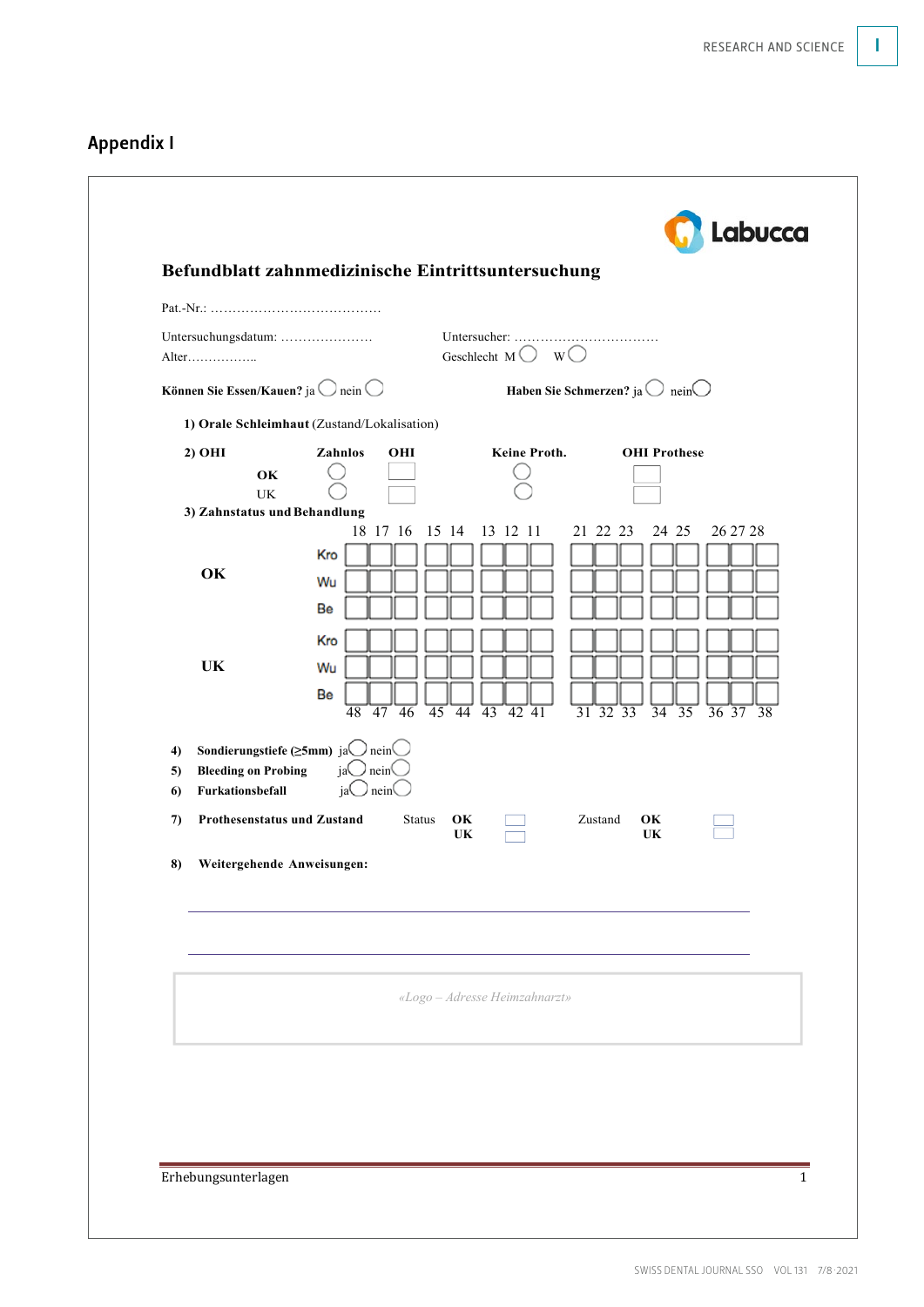# Appendix I

|                | Untersuchungsdatum:<br>Alter                                                                                                                                           | Geschlecht M $\bigcirc$ W $\bigcirc$                                                                 |                                                                                                                                                                        |
|----------------|------------------------------------------------------------------------------------------------------------------------------------------------------------------------|------------------------------------------------------------------------------------------------------|------------------------------------------------------------------------------------------------------------------------------------------------------------------------|
|                | Können Sie Essen/Kauen? ja $\bigcirc$ nein $\bigcirc$                                                                                                                  |                                                                                                      | Haben Sie Schmerzen? ja $\bigcirc$ nein $\bigcirc$                                                                                                                     |
|                | 1) Orale Schleimhaut (Zustand/Lokalisation)                                                                                                                            |                                                                                                      |                                                                                                                                                                        |
|                | Zahnlos<br>2) OHI<br>OHI<br>OK<br>UK<br>3) Zahnstatus und Behandlung                                                                                                   | Keine Proth.                                                                                         | <b>OHI</b> Prothese                                                                                                                                                    |
|                | 18 17 16<br>Kro<br>OK<br>Wu<br>Be<br>Kro<br><b>UK</b><br>Wu<br>Be<br>$\overline{48}$ $\overline{47}$ $\overline{46}$                                                   | 15 14<br>13 12 11<br>$\overline{45}$ $\overline{44}$ $\overline{43}$ $\overline{42}$ $\overline{41}$ | 21 22 23<br>24 25<br>26 27 28<br>$\overline{31}$ $\overline{32}$ $\overline{33}$<br>$\overline{34}$<br>$\overline{35}$<br>$\frac{1}{36}$ $\frac{1}{37}$ $\frac{1}{38}$ |
| 4)<br>5)<br>6) | Sondierungstiefe ( $\geq$ 5mm) ja $\bigcirc$ nein $\bigcirc$<br>$jaO$ nein $O$<br><b>Bleeding on Probing</b><br>$\supset$ nein <sup>(</sup><br>Furkationsbefall<br>jal |                                                                                                      |                                                                                                                                                                        |
| 7)             | Prothesenstatus und Zustand<br><b>Status</b>                                                                                                                           | OK<br>UK                                                                                             | Zustand<br>OK<br>UK                                                                                                                                                    |
| 8)             | Weitergehende Anweisungen:                                                                                                                                             |                                                                                                      |                                                                                                                                                                        |
|                |                                                                                                                                                                        | «Logo - Adresse Heimzahnarzt»                                                                        |                                                                                                                                                                        |
|                |                                                                                                                                                                        |                                                                                                      |                                                                                                                                                                        |